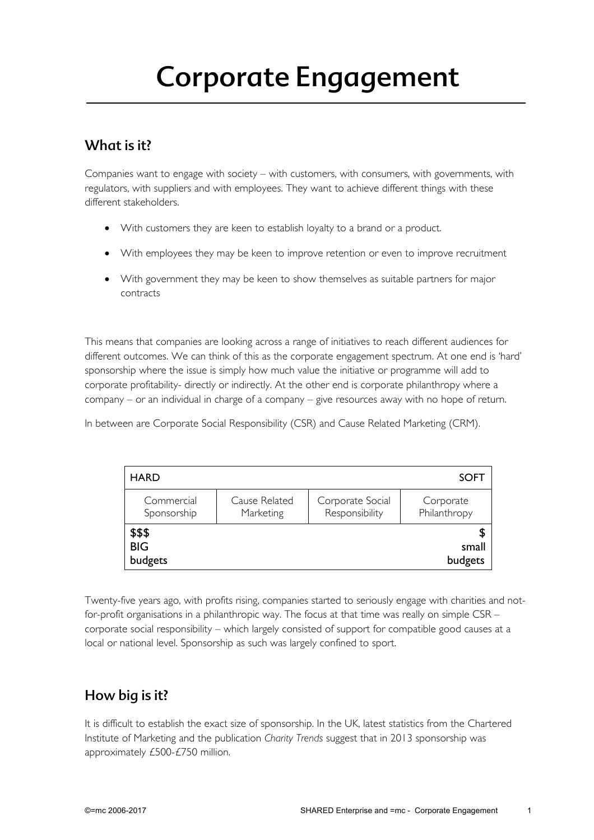# Corporate Engagement

## What is it?

Companies want to engage with society – with customers, with consumers, with governments, with regulators, with suppliers and with employees. They want to achieve different things with these different stakeholders.

- With customers they are keen to establish loyalty to a brand or a product.
- With employees they may be keen to improve retention or even to improve recruitment
- With government they may be keen to show themselves as suitable partners for major contracts

This means that companies are looking across a range of initiatives to reach different audiences for different outcomes. We can think of this as the corporate engagement spectrum. At one end is 'hard' sponsorship where the issue is simply how much value the initiative or programme will add to corporate profitability- directly or indirectly. At the other end is corporate philanthropy where a company – or an individual in charge of a company – give resources away with no hope of return.

In between are Corporate Social Responsibility (CSR) and Cause Related Marketing (CRM).

| <b>HARD</b>                     |                            |                                    | <b>SOFT</b>               |
|---------------------------------|----------------------------|------------------------------------|---------------------------|
| Commercial<br>Sponsorship       | Cause Related<br>Marketing | Corporate Social<br>Responsibility | Corporate<br>Philanthropy |
| \$\$\$<br><b>BIG</b><br>budgets |                            |                                    | small<br>budgets          |

Twenty-five years ago, with profits rising, companies started to seriously engage with charities and notfor-profit organisations in a philanthropic way. The focus at that time was really on simple CSR – corporate social responsibility – which largely consisted of support for compatible good causes at a local or national level. Sponsorship as such was largely confined to sport.

## How big is it?

It is difficult to establish the exact size of sponsorship. In the UK, latest statistics from the Chartered Institute of Marketing and the publication *Charity Trends* suggest that in 2013 sponsorship was approximately £500-£750 million.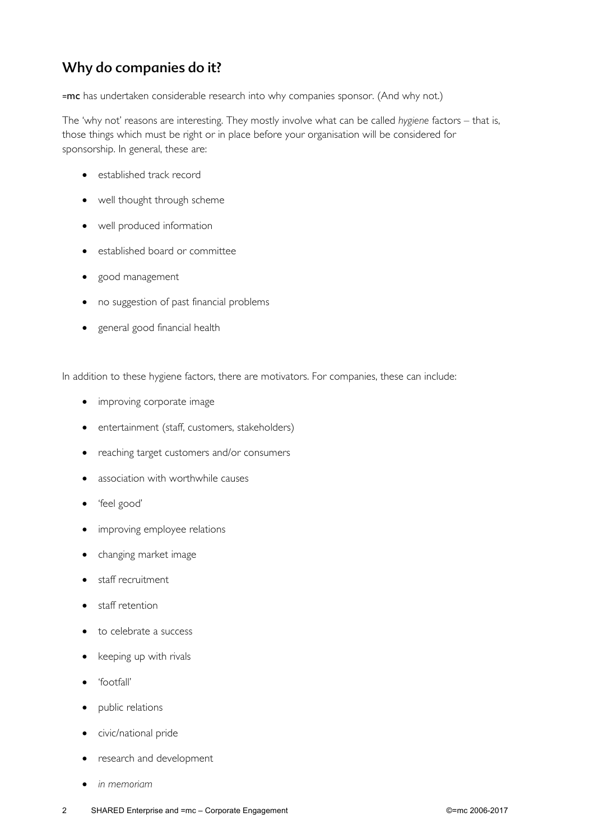# Why do companies do it?

=mc has undertaken considerable research into why companies sponsor. (And why not.)

The 'why not' reasons are interesting. They mostly involve what can be called *hygiene* factors – that is, those things which must be right or in place before your organisation will be considered for sponsorship. In general, these are:

- established track record
- well thought through scheme
- well produced information
- established board or committee
- good management
- no suggestion of past financial problems
- general good financial health

In addition to these hygiene factors, there are motivators. For companies, these can include:

- improving corporate image
- entertainment (staff, customers, stakeholders)
- reaching target customers and/or consumers
- association with worthwhile causes
- 'feel good'
- improving employee relations
- changing market image
- staff recruitment
- staff retention
- to celebrate a success
- keeping up with rivals
- 'footfall'
- public relations
- civic/national pride
- research and development
- *in memoriam*
- 2 SHARED Enterprise and =mc Corporate Engagement ©=mc 2006-2017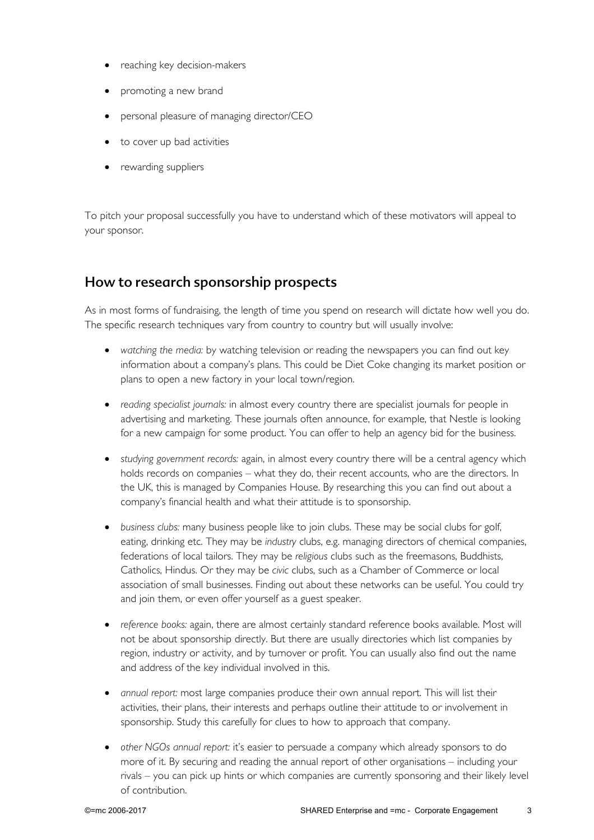- reaching key decision-makers
- promoting a new brand
- personal pleasure of managing director/CEO
- to cover up bad activities
- rewarding suppliers

To pitch your proposal successfully you have to understand which of these motivators will appeal to your sponsor.

#### How to research sponsorship prospects

As in most forms of fundraising, the length of time you spend on research will dictate how well you do. The specific research techniques vary from country to country but will usually involve:

- *watching the media:* by watching television or reading the newspapers you can find out key information about a company's plans. This could be Diet Coke changing its market position or plans to open a new factory in your local town/region.
- *reading specialist journals:* in almost every country there are specialist journals for people in advertising and marketing. These journals often announce, for example, that Nestle is looking for a new campaign for some product. You can offer to help an agency bid for the business.
- *studying government records:* again, in almost every country there will be a central agency which holds records on companies – what they do, their recent accounts, who are the directors. In the UK, this is managed by Companies House. By researching this you can find out about a company's financial health and what their attitude is to sponsorship.
- *business clubs:* many business people like to join clubs. These may be social clubs for golf, eating, drinking etc. They may be *industry* clubs, e.g. managing directors of chemical companies, federations of local tailors. They may be *religious* clubs such as the freemasons, Buddhists, Catholics, Hindus. Or they may be *civic* clubs, such as a Chamber of Commerce or local association of small businesses. Finding out about these networks can be useful. You could try and join them, or even offer yourself as a guest speaker.
- *reference books:* again, there are almost certainly standard reference books available. Most will not be about sponsorship directly. But there are usually directories which list companies by region, industry or activity, and by turnover or profit. You can usually also find out the name and address of the key individual involved in this.
- *annual report:* most large companies produce their own annual report. This will list their activities, their plans, their interests and perhaps outline their attitude to or involvement in sponsorship. Study this carefully for clues to how to approach that company.
- *other NGOs annual report:* it's easier to persuade a company which already sponsors to do more of it. By securing and reading the annual report of other organisations – including your rivals – you can pick up hints or which companies are currently sponsoring and their likely level of contribution.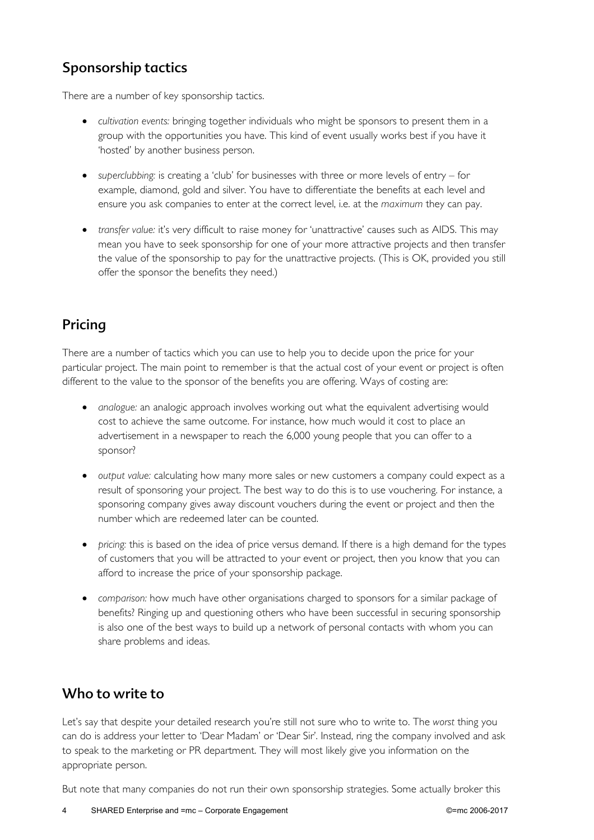# Sponsorship tactics

There are a number of key sponsorship tactics.

- *cultivation events:* bringing together individuals who might be sponsors to present them in a group with the opportunities you have. This kind of event usually works best if you have it 'hosted' by another business person.
- *superclubbing:* is creating a 'club' for businesses with three or more levels of entry for example, diamond, gold and silver. You have to differentiate the benefits at each level and ensure you ask companies to enter at the correct level, i.e. at the *maximum* they can pay.
- *transfer value:* it's very difficult to raise money for 'unattractive' causes such as AIDS. This may mean you have to seek sponsorship for one of your more attractive projects and then transfer the value of the sponsorship to pay for the unattractive projects. (This is OK, provided you still offer the sponsor the benefits they need.)

# Pricing

There are a number of tactics which you can use to help you to decide upon the price for your particular project. The main point to remember is that the actual cost of your event or project is often different to the value to the sponsor of the benefits you are offering. Ways of costing are:

- *analogue:* an analogic approach involves working out what the equivalent advertising would cost to achieve the same outcome. For instance, how much would it cost to place an advertisement in a newspaper to reach the 6,000 young people that you can offer to a sponsor?
- *output value:* calculating how many more sales or new customers a company could expect as a result of sponsoring your project. The best way to do this is to use vouchering. For instance, a sponsoring company gives away discount vouchers during the event or project and then the number which are redeemed later can be counted.
- *pricing:* this is based on the idea of price versus demand. If there is a high demand for the types of customers that you will be attracted to your event or project, then you know that you can afford to increase the price of your sponsorship package.
- *comparison:* how much have other organisations charged to sponsors for a similar package of benefits? Ringing up and questioning others who have been successful in securing sponsorship is also one of the best ways to build up a network of personal contacts with whom you can share problems and ideas.

## Who to write to

Let's say that despite your detailed research you're still not sure who to write to. The *worst* thing you can do is address your letter to 'Dear Madam' or 'Dear Sir'. Instead, ring the company involved and ask to speak to the marketing or PR department. They will most likely give you information on the appropriate person.

But note that many companies do not run their own sponsorship strategies. Some actually broker this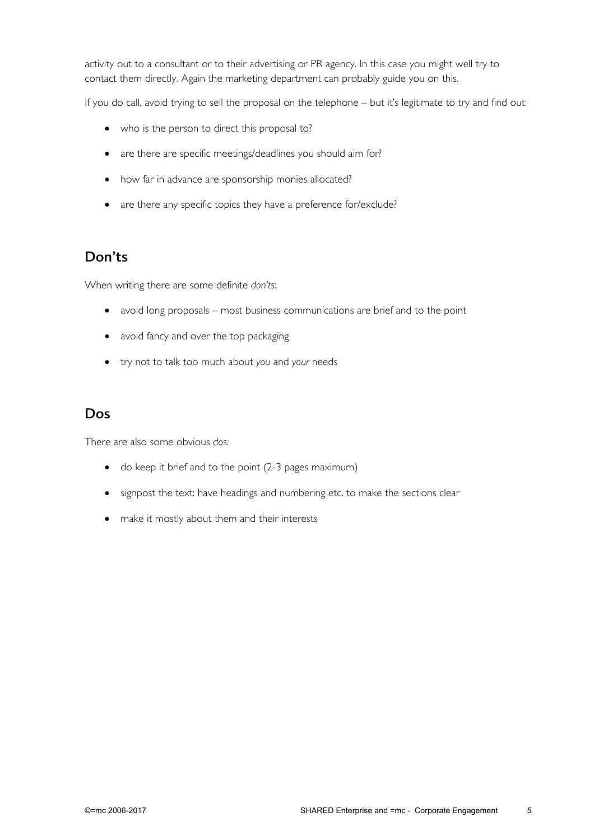activity out to a consultant or to their advertising or PR agency. In this case you might well try to contact them directly. Again the marketing department can probably guide you on this.

If you do call, avoid trying to sell the proposal on the telephone – but it's legitimate to try and find out:

- who is the person to direct this proposal to?
- are there are specific meetings/deadlines you should aim for?
- how far in advance are sponsorship monies allocated?
- are there any specific topics they have a preference for/exclude?

## Don'ts

When writing there are some definite *don'ts*:

- avoid long proposals most business communications are brief and to the point
- avoid fancy and over the top packaging
- try not to talk too much about *you* and *your* needs

#### Dos

There are also some obvious *dos:*

- do keep it brief and to the point (2-3 pages maximum)
- signpost the text: have headings and numbering etc. to make the sections clear
- make it mostly about them and their interests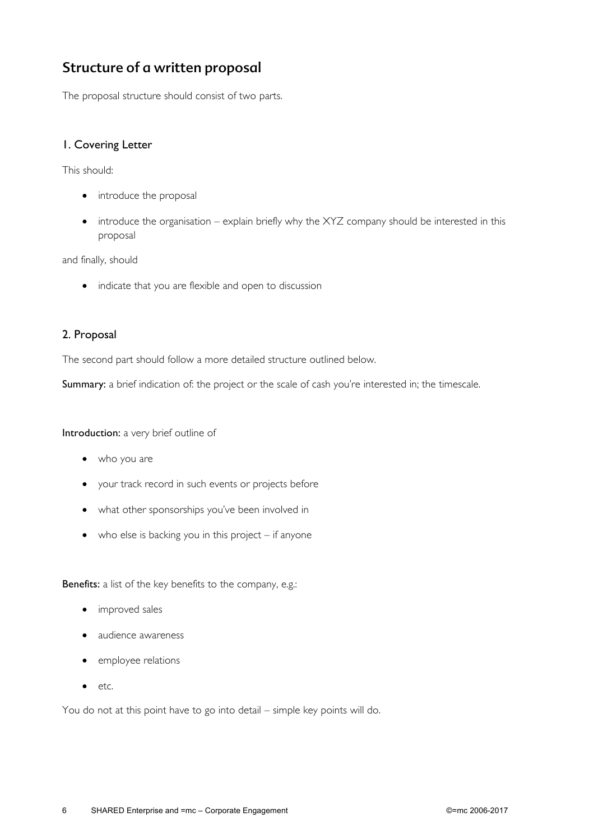# Structure of a written proposal

The proposal structure should consist of two parts.

#### 1. Covering Letter

This should:

- introduce the proposal
- introduce the organisation explain briefly why the XYZ company should be interested in this proposal

and finally, should

• indicate that you are flexible and open to discussion

#### 2. Proposal

The second part should follow a more detailed structure outlined below.

Summary: a brief indication of: the project or the scale of cash you're interested in; the timescale.

Introduction: a very brief outline of

- who you are
- your track record in such events or projects before
- what other sponsorships you've been involved in
- $\bullet$  who else is backing you in this project if anyone

Benefits: a list of the key benefits to the company, e.g.:

- improved sales
- audience awareness
- employee relations
- etc.

You do not at this point have to go into detail – simple key points will do.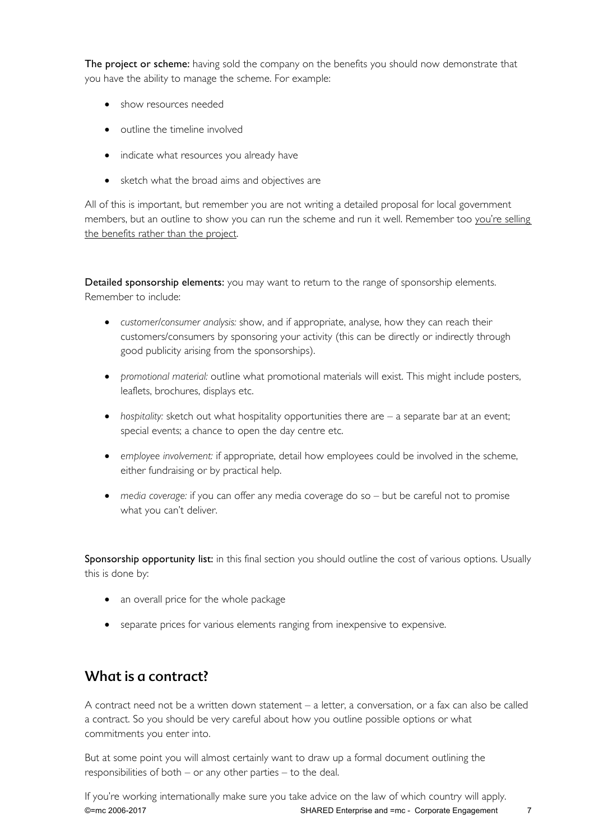The project or scheme: having sold the company on the benefits you should now demonstrate that you have the ability to manage the scheme. For example:

- show resources needed
- outline the timeline involved
- indicate what resources you already have
- sketch what the broad aims and objectives are

All of this is important, but remember you are not writing a detailed proposal for local government members, but an outline to show you can run the scheme and run it well. Remember too you're selling the benefits rather than the project.

Detailed sponsorship elements: you may want to return to the range of sponsorship elements. Remember to include:

- *customer/consumer analysis:* show, and if appropriate, analyse, how they can reach their customers/consumers by sponsoring your activity (this can be directly or indirectly through good publicity arising from the sponsorships).
- *promotional material:* outline what promotional materials will exist. This might include posters, leaflets, brochures, displays etc.
- *hospitality:* sketch out what hospitality opportunities there are a separate bar at an event; special events; a chance to open the day centre etc.
- *employee involvement:* if appropriate, detail how employees could be involved in the scheme, either fundraising or by practical help.
- *media coverage:* if you can offer any media coverage do so but be careful not to promise what you can't deliver.

Sponsorship opportunity list: in this final section you should outline the cost of various options. Usually this is done by:

- an overall price for the whole package
- separate prices for various elements ranging from inexpensive to expensive.

#### What is a contract?

A contract need not be a written down statement – a letter, a conversation, or a fax can also be called a contract. So you should be very careful about how you outline possible options or what commitments you enter into.

But at some point you will almost certainly want to draw up a formal document outlining the responsibilities of both – or any other parties – to the deal.

©=mc 2006-2017 SHARED Enterprise and =mc - Corporate Engagement 7 If you're working internationally make sure you take advice on the law of which country will apply.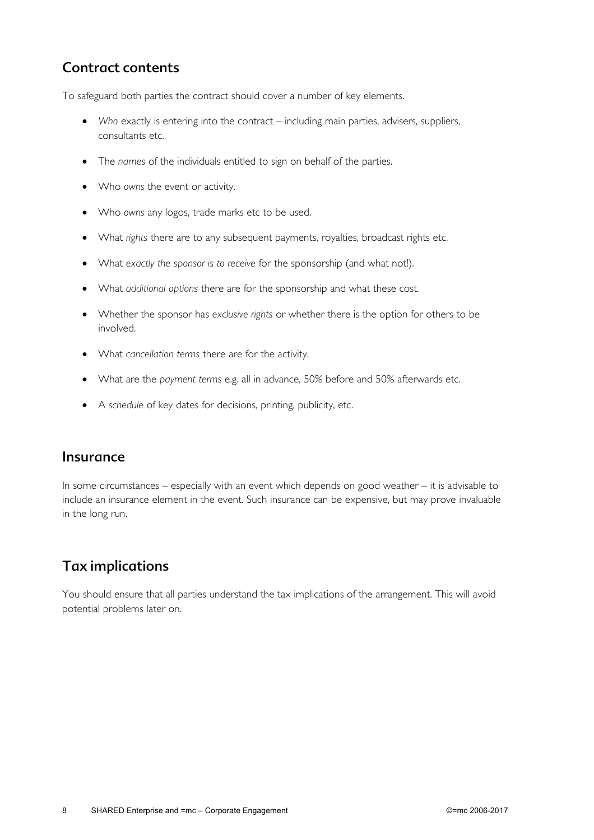## Contract contents

To safeguard both parties the contract should cover a number of key elements.

- *Who* exactly is entering into the contract including main parties, advisers, suppliers, consultants etc.
- The *names* of the individuals entitled to sign on behalf of the parties.
- Who *owns* the event or activity.
- Who *owns* any logos, trade marks etc to be used.
- What *rights* there are to any subsequent payments, royalties, broadcast rights etc.
- What *exactly the sponsor is to receive* for the sponsorship (and what not!).
- What *additional options* there are for the sponsorship and what these cost.
- Whether the sponsor has *exclusive rights* or whether there is the option for others to be involved.
- What *cancellation terms* there are for the activity.
- What are the *payment terms* e.g. all in advance, 50% before and 50% afterwards etc.
- A *schedule* of key dates for decisions, printing, publicity, etc.

#### Insurance

In some circumstances – especially with an event which depends on good weather – it is advisable to include an insurance element in the event. Such insurance can be expensive, but may prove invaluable in the long run.

## Tax implications

You should ensure that all parties understand the tax implications of the arrangement. This will avoid potential problems later on.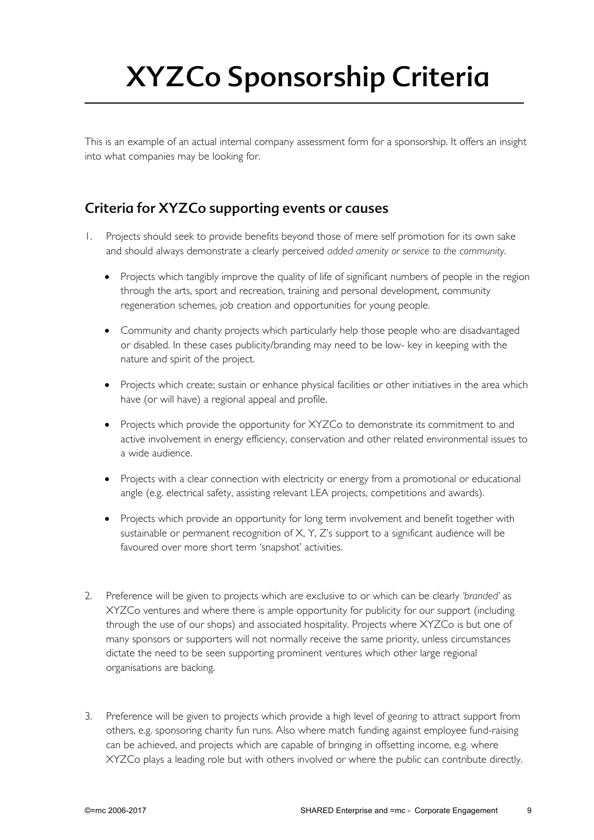# XYZCo Sponsorship Criteria

This is an example of an actual internal company assessment form for a sponsorship. It offers an insight into what companies may be looking for.

## Criteria for XYZCo supporting events or causes

- 1. Projects should seek to provide benefits beyond those of mere self promotion for its own sake and should always demonstrate a clearly perceived *added amenity or service to the community*.
	- Projects which tangibly improve the quality of life of significant numbers of people in the region through the arts, sport and recreation, training and personal development, community regeneration schemes, job creation and opportunities for young people.
	- Community and charity projects which particularly help those people who are disadvantaged or disabled. In these cases publicity/branding may need to be low- key in keeping with the nature and spirit of the project.
	- Projects which create; sustain or enhance physical facilities or other initiatives in the area which have (or will have) a regional appeal and profile.
	- Projects which provide the opportunity for XYZCo to demonstrate its commitment to and active involvement in energy efficiency, conservation and other related environmental issues to a wide audience.
	- Projects with a clear connection with electricity or energy from a promotional or educational angle (e.g. electrical safety, assisting relevant LEA projects, competitions and awards).
	- Projects which provide an opportunity for long term involvement and benefit together with sustainable or permanent recognition of  $X, Y, Z$ 's support to a significant audience will be favoured over more short term 'snapshot' activities.
- 2. Preference will be given to projects which are exclusive to or which can be clearly *'branded'* as XYZCo ventures and where there is ample opportunity for publicity for our support (including through the use of our shops) and associated hospitality. Projects where XYZCo is but one of many sponsors or supporters will not normally receive the same priority, unless circumstances dictate the need to be seen supporting prominent ventures which other large regional organisations are backing.
- 3. Preference will be given to projects which provide a high level of *gearing* to attract support from others, e.g. sponsoring charity fun runs. Also where match funding against employee fund-raising can be achieved, and projects which are capable of bringing in offsetting income, e.g. where XYZCo plays a leading role but with others involved or where the public can contribute directly.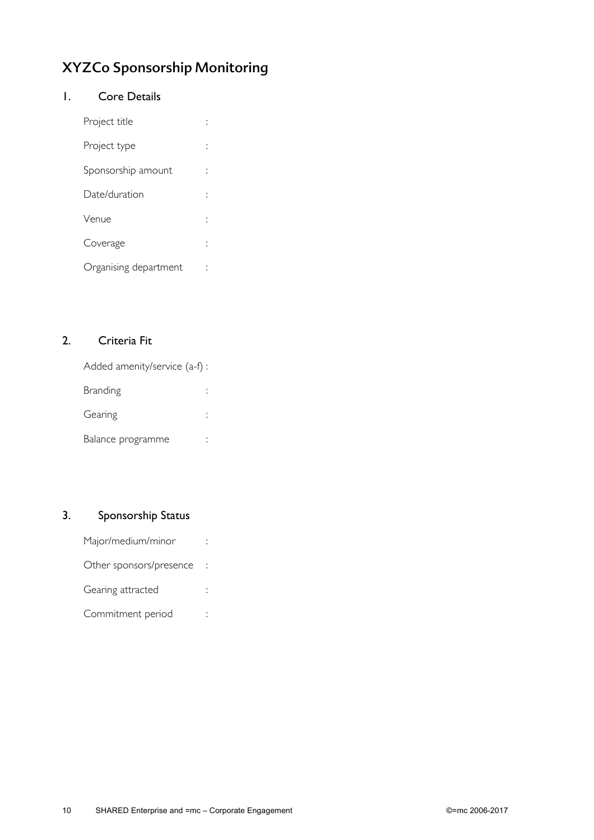# XYZCo Sponsorship Monitoring

#### 1. Core Details

| Project title         |  |
|-----------------------|--|
| Project type          |  |
| Sponsorship amount    |  |
| Date/duration         |  |
| Venue                 |  |
| Coverage              |  |
| Organising department |  |

#### 2. Criteria Fit

| Added amenity/service (a-f): |  |
|------------------------------|--|
| <b>Branding</b>              |  |
| Gearing                      |  |
| Balance programme            |  |

#### 3. Sponsorship Status

| Major/medium/minor      |  |
|-------------------------|--|
| Other sponsors/presence |  |
| Gearing attracted       |  |
| Commitment period       |  |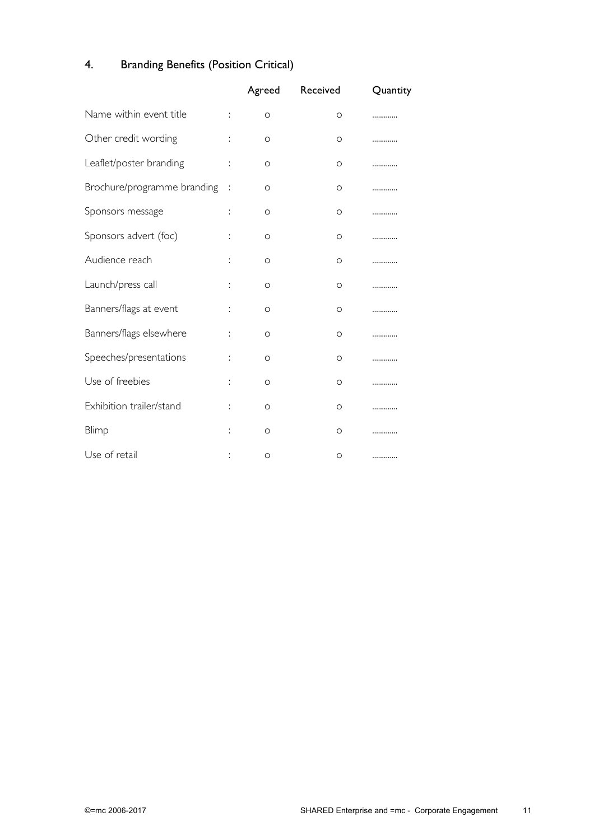# 4. Branding Benefits (Position Critical)

|                             |    | Agreed   | Received | Quantity |
|-----------------------------|----|----------|----------|----------|
| Name within event title     | ÷  | O        | O        |          |
| Other credit wording        |    | O        | O        | .        |
| Leaflet/poster branding     | t, | O        | O        |          |
| Brochure/programme branding | ÷  | O        | O        | .        |
| Sponsors message            | t  | O        | O        |          |
| Sponsors advert (foc)       | t  | O        | O        |          |
| Audience reach              | ÷  | O        | O        |          |
| Launch/press call           | ÷  | O        | O        | .        |
| Banners/flags at event      | t  | O        | O        | .        |
| Banners/flags elsewhere     |    | $\circ$  | O        | .        |
| Speeches/presentations      | t  | O        | O        | .        |
| Use of freebies             | t  | $\Omega$ | $\Omega$ | .        |
| Exhibition trailer/stand    |    | $\circ$  | O        | .        |
| Blimp                       |    | $\circ$  | O        | .        |
| Use of retail               |    | O        | O        |          |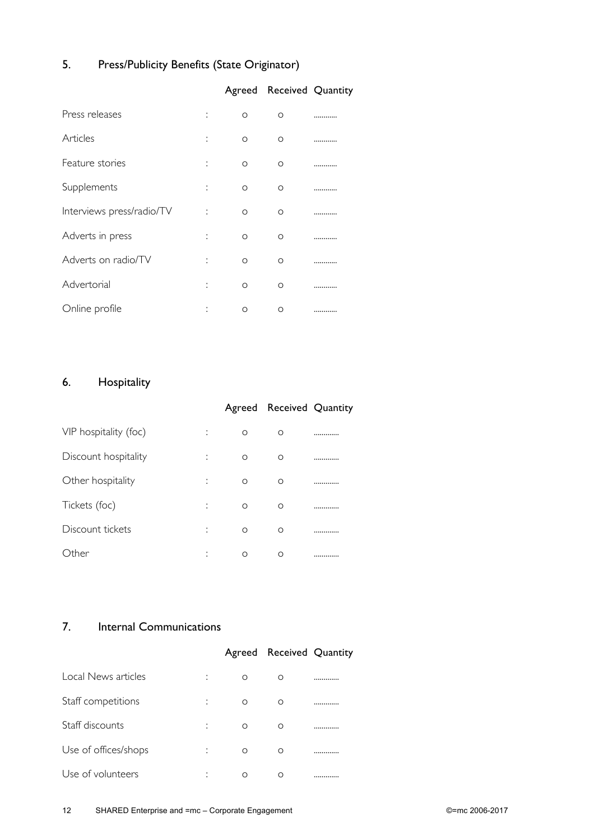## 5. Press/Publicity Benefits (State Originator)

|                                |          | Agreed Received Quantity |  |
|--------------------------------|----------|--------------------------|--|
| Press releases<br>÷            | $\circ$  | O                        |  |
| Articles<br>t                  | $\circ$  | O                        |  |
| Feature stories<br>t           | $\circ$  | $\circ$                  |  |
| Supplements<br>÷               | $\circ$  | $\Omega$                 |  |
| Interviews press/radio/TV<br>İ | $\Omega$ | $\Omega$                 |  |
| Adverts in press<br>t          | O        | O                        |  |
| Adverts on radio/TV<br>t       | O        | $\Omega$                 |  |
| Advertorial<br>İ               | O        | $\Omega$                 |  |
| Online profile<br>٠<br>ä,      | O        | O                        |  |

## 6. Hospitality

|                                  |   | Agreed Received Quantity |   |
|----------------------------------|---|--------------------------|---|
| VIP hospitality (foc)<br>٠<br>ä, | O | O                        | . |
| Discount hospitality<br>٠<br>×   | O | O                        | . |
| Other hospitality<br>٠<br>ä,     | O | $\Omega$                 |   |
| Tickets (foc)<br>٠<br>×          | O | O                        | . |
| Discount tickets<br>٠            | O | $\Omega$                 |   |
| ther<br>٠<br>٠                   | Ω | Ω                        |   |

#### 7. Internal Communications

|                           |          | Agreed Received Quantity |  |
|---------------------------|----------|--------------------------|--|
| Local News articles<br>٠  | $\Omega$ | O                        |  |
| Staff competitions<br>÷   | O        | O                        |  |
| Staff discounts<br>÷      | $\Omega$ | O                        |  |
| Use of offices/shops<br>÷ | $\Omega$ | O                        |  |
| Use of volunteers<br>٠    | ∩        |                          |  |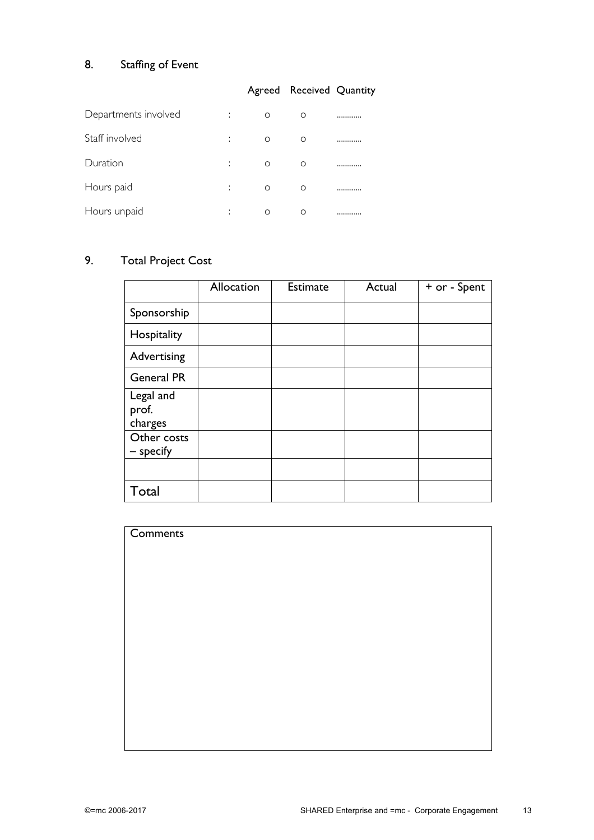# 8. Staffing of Event

#### Agreed Received Quantity

| Departments involved | ٠<br>٠  | ∩ | ∩ |  |
|----------------------|---------|---|---|--|
| Staff involved       | ٠<br>ä. | Ω | ∩ |  |
| Duration             | ٠       | ∩ | Ω |  |
| Hours paid           | ٠       | Ω | ∩ |  |
| Hours unpaid         | ٠       |   |   |  |

## 9. Total Project Cost

|                               | Allocation | <b>Estimate</b> | Actual | + or - Spent |
|-------------------------------|------------|-----------------|--------|--------------|
| Sponsorship                   |            |                 |        |              |
| Hospitality                   |            |                 |        |              |
| Advertising                   |            |                 |        |              |
| <b>General PR</b>             |            |                 |        |              |
| Legal and<br>prof.<br>charges |            |                 |        |              |
| Other costs<br>- specify      |            |                 |        |              |
|                               |            |                 |        |              |
| Total                         |            |                 |        |              |

| Comments |  |  |  |
|----------|--|--|--|
|          |  |  |  |
|          |  |  |  |
|          |  |  |  |
|          |  |  |  |
|          |  |  |  |
|          |  |  |  |
|          |  |  |  |
|          |  |  |  |
|          |  |  |  |
|          |  |  |  |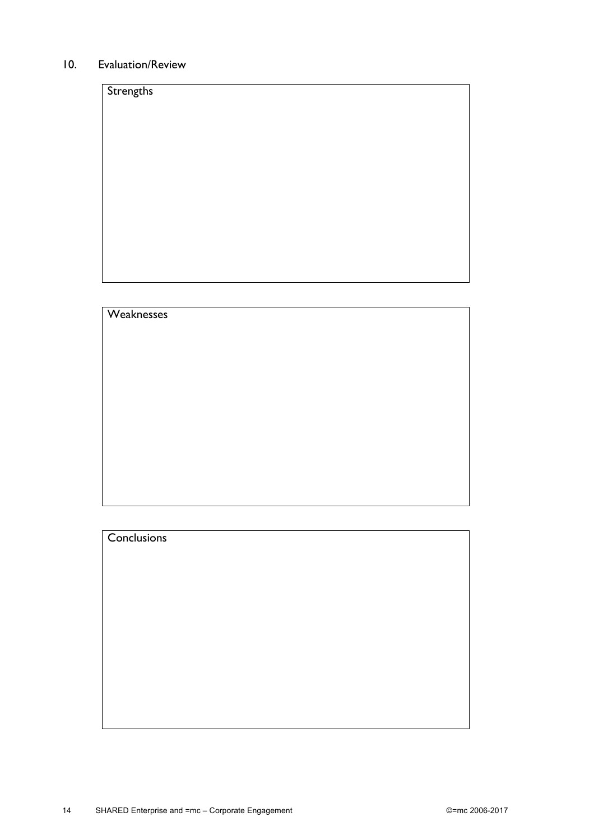#### 10. Evaluation/Review

| Strengths |  |  |  |
|-----------|--|--|--|
|           |  |  |  |
|           |  |  |  |
|           |  |  |  |
|           |  |  |  |
|           |  |  |  |
|           |  |  |  |
|           |  |  |  |
|           |  |  |  |

| Weaknesses |  |  |  |
|------------|--|--|--|
|            |  |  |  |
|            |  |  |  |
|            |  |  |  |
|            |  |  |  |
|            |  |  |  |
|            |  |  |  |
|            |  |  |  |
|            |  |  |  |

| <b>Conclusions</b> |
|--------------------|
|                    |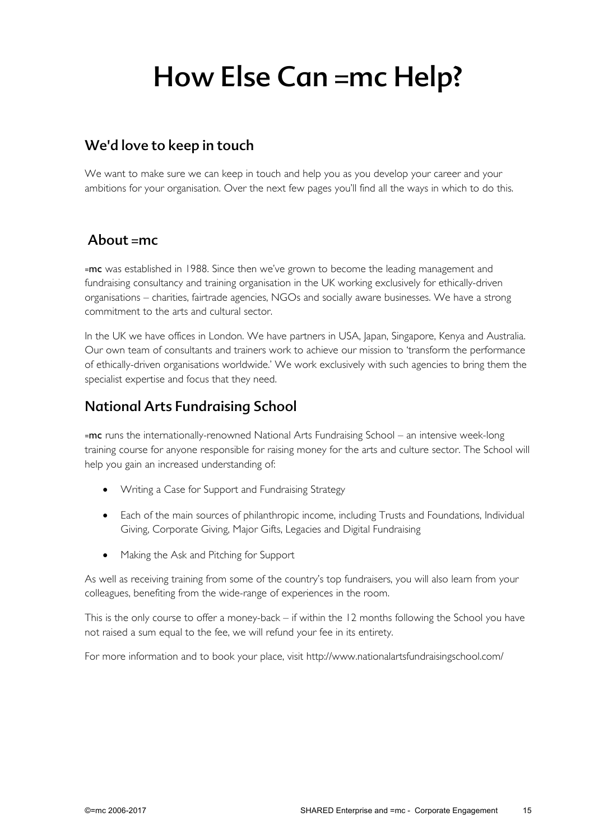# How Else Can =mc Help?

## We'd love to keep in touch

We want to make sure we can keep in touch and help you as you develop your career and your ambitions for your organisation. Over the next few pages you'll find all the ways in which to do this.

## About  $=mc$

=mc was established in 1988. Since then we've grown to become the leading management and fundraising consultancy and training organisation in the UK working exclusively for ethically-driven organisations – charities, fairtrade agencies, NGOs and socially aware businesses. We have a strong commitment to the arts and cultural sector.

In the UK we have offices in London. We have partners in USA, Japan, Singapore, Kenya and Australia. Our own team of consultants and trainers work to achieve our mission to 'transform the performance of ethically-driven organisations worldwide.' We work exclusively with such agencies to bring them the specialist expertise and focus that they need.

## National Arts Fundraising School

=mc runs the internationally-renowned National Arts Fundraising School – an intensive week-long training course for anyone responsible for raising money for the arts and culture sector. The School will help you gain an increased understanding of:

- Writing a Case for Support and Fundraising Strategy
- Each of the main sources of philanthropic income, including Trusts and Foundations, Individual Giving, Corporate Giving, Major Gifts, Legacies and Digital Fundraising
- Making the Ask and Pitching for Support

As well as receiving training from some of the country's top fundraisers, you will also learn from your colleagues, benefiting from the wide-range of experiences in the room.

This is the only course to offer a money-back – if within the 12 months following the School you have not raised a sum equal to the fee, we will refund your fee in its entirety.

For more information and to book your place, visit http://www.nationalartsfundraisingschool.com/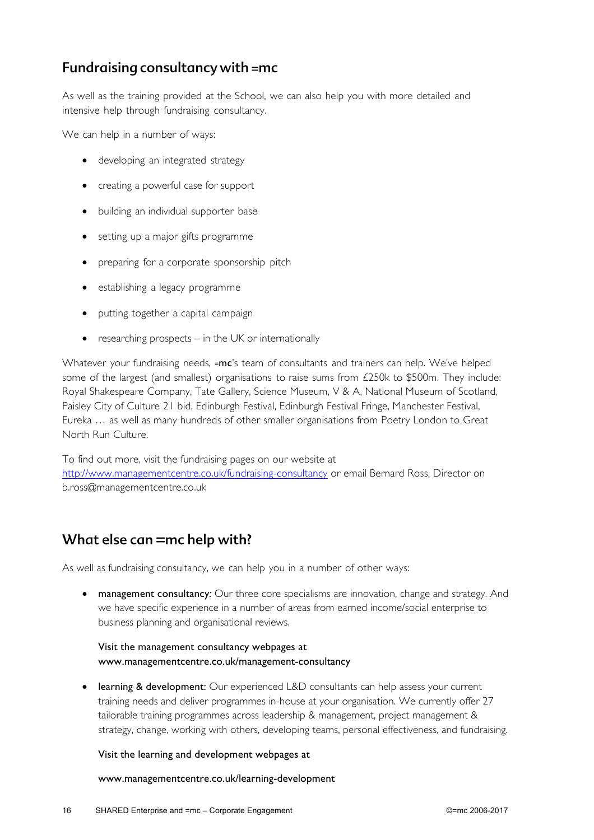## Fundraising consultancy with =mc

As well as the training provided at the School, we can also help you with more detailed and intensive help through fundraising consultancy.

We can help in a number of ways:

- developing an integrated strategy
- creating a powerful case for support
- building an individual supporter base
- setting up a major gifts programme
- preparing for a corporate sponsorship pitch
- establishing a legacy programme
- putting together a capital campaign
- researching prospects in the UK or internationally

Whatever your fundraising needs, =mc's team of consultants and trainers can help. We've helped some of the largest (and smallest) organisations to raise sums from  $£250k$  to \$500m. They include: Royal Shakespeare Company, Tate Gallery, Science Museum, V & A, National Museum of Scotland, Paisley City of Culture 21 bid, Edinburgh Festival, Edinburgh Festival Fringe, Manchester Festival, Eureka … as well as many hundreds of other smaller organisations from Poetry London to Great North Run Culture.

To find out more, visit the fundraising pages on our website at http://www.managementcentre.co.uk/fundraising-consultancy or email Bernard Ross, Director on b.ross@managementcentre.co.uk

## What else can =mc help with?

As well as fundraising consultancy, we can help you in a number of other ways:

• management consultancy*:* Our three core specialisms are innovation, change and strategy. And we have specific experience in a number of areas from earned income/social enterprise to business planning and organisational reviews.

#### Visit the management consultancy webpages at www.managementcentre.co.uk/management-consultancy

• learning & development: Our experienced L&D consultants can help assess your current training needs and deliver programmes in-house at your organisation. We currently offer 27 tailorable training programmes across leadership & management, project management & strategy, change, working with others, developing teams, personal effectiveness, and fundraising.

#### Visit the learning and development webpages at

www.managementcentre.co.uk/learning-development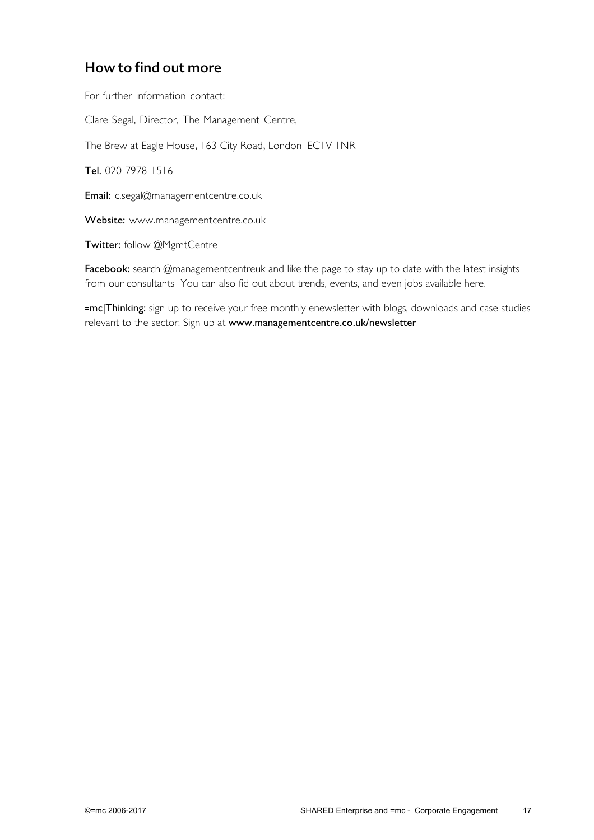## How to find out more

For further information contact:

Clare Segal, Director, The Management Centre,

The Brew at Eagle House, 163 City Road, London EC1V INR

Tel. 020 7978 1516

Email: c.segal@managementcentre.co.uk

Website: www.managementcentre.co.uk

Twitter: follow @MgmtCentre

Facebook: search @managementcentreuk and like the page to stay up to date with the latest insights from our consultants You can also fid out about trends, events, and even jobs available here.

=mc|Thinking: sign up to receive your free monthly enewsletter with blogs, downloads and case studies relevant to the sector. Sign up at www.managementcentre.co.uk/newsletter